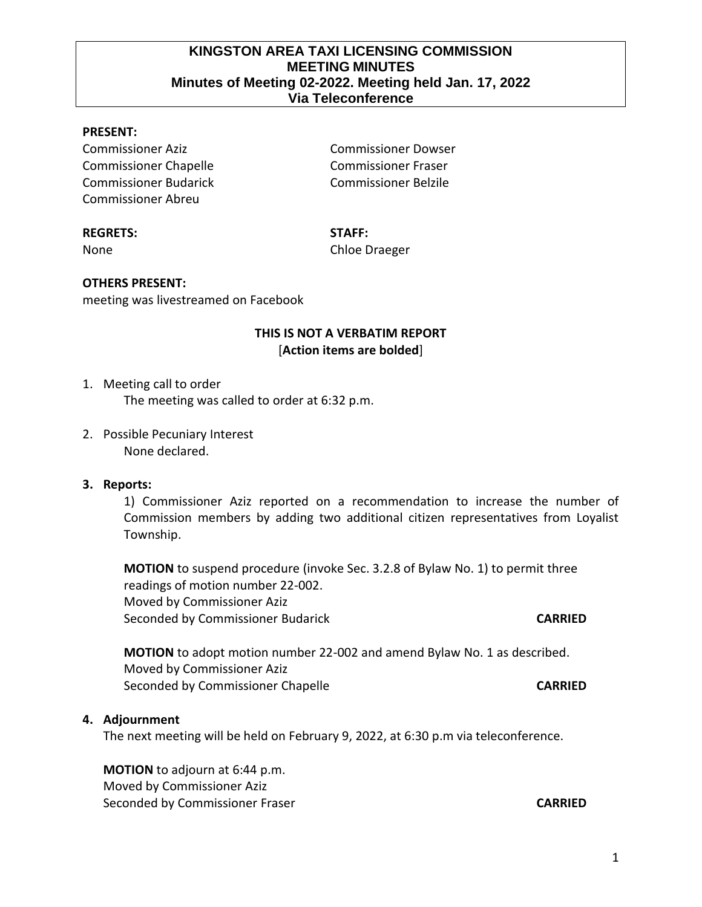1

# **KINGSTON AREA TAXI LICENSING COMMISSION MEETING MINUTES Minutes of Meeting 02-2022. Meeting held Jan. 17, 2022 Via Teleconference**

# **PRESENT:**

Commissioner Aziz Commissioner Dowser Commissioner Chapelle Commissioner Fraser Commissioner Budarick Commissioner Belzile Commissioner Abreu

#### **REGRETS: STAFF:**

None Chloe Draeger

#### **OTHERS PRESENT:**

meeting was livestreamed on Facebook

## **THIS IS NOT A VERBATIM REPORT** [**Action items are bolded**]

#### 1. Meeting call to order

The meeting was called to order at 6:32 p.m.

2. Possible Pecuniary Interest None declared.

### **3. Reports:**

1) Commissioner Aziz reported on a recommendation to increase the number of Commission members by adding two additional citizen representatives from Loyalist Township.

**MOTION** to suspend procedure (invoke Sec. 3.2.8 of Bylaw No. 1) to permit three readings of motion number 22-002. Moved by Commissioner Aziz Seconded by Commissioner Budarick **CARRIED**

**MOTION** to adopt motion number 22-002 and amend Bylaw No. 1 as described. Moved by Commissioner Aziz Seconded by Commissioner Chapelle **CARRIED** 

#### **4. Adjournment**

The next meeting will be held on February 9, 2022, at 6:30 p.m via teleconference.

**MOTION** to adjourn at 6:44 p.m. Moved by Commissioner Aziz Seconded by Commissioner Fraser **CARRIED**